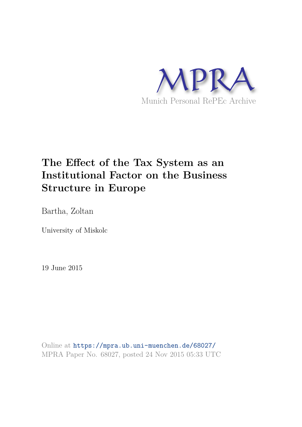

# **The Effect of the Tax System as an Institutional Factor on the Business Structure in Europe**

Bartha, Zoltan

University of Miskolc

19 June 2015

Online at https://mpra.ub.uni-muenchen.de/68027/ MPRA Paper No. 68027, posted 24 Nov 2015 05:33 UTC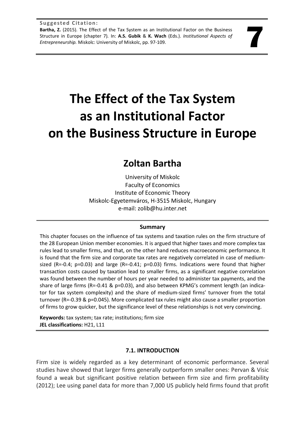# **The Effect of the Tax System as an Institutional Factor on the Business Structure in Europe**

# **Zoltan Bartha**

University of Miskolc Faculty of Economics Institute of Economic Theory Miskolc-Egyetemváros, H-3515 Miskolc, Hungary e-mail: zolib@hu.inter.net

# **Summary**

This chapter focuses on the influence of tax systems and taxation rules on the firm structure of the 28 European Union member economies. It is argued that higher taxes and more complex tax rules lead to smaller firms, and that, on the other hand reduces macroeconomic performance. It is found that the firm size and corporate tax rates are negatively correlated in case of mediumsized  $(R=-0.4; p=0.03)$  and large  $(R=-0.41; p=0.03)$  firms. Indications were found that higher transaction costs caused by taxation lead to smaller firms, as a significant negative correlation was found between the number of hours per year needed to administer tax payments, and the share of large firms (R=-0.41 & p=0.03), and also between KPMG's comment length (an indicator for tax system complexity) and the share of medium-sized firms' turnover from the total turnover (R=-0.39 & p=0.045). More complicated tax rules might also cause a smaller proportion of firms to grow quicker, but the significance level of these relationships is not very convincing.

**Keywords:** tax system; tax rate; institutions; firm size **JEL classifications:** H21, L11

# **7.1. INTRODUCTION**

Firm size is widely regarded as a key determinant of economic performance. Several studies have showed that larger firms generally outperform smaller ones: Pervan & Visic found a weak but significant positive relation between firm size and firm profitability (2012); Lee using panel data for more than 7,000 US publicly held firms found that profit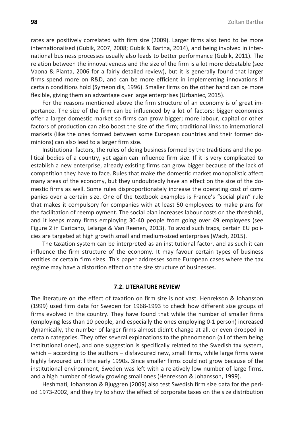rates are positively correlated with firm size (2009). Larger firms also tend to be more internationalised (Gubik, 2007, 2008; Gubik & Bartha, 2014), and being involved in international business processes usually also leads to better performance (Gubik, 2011). The relation between the innovativeness and the size of the firm is a lot more debatable (see Vaona & Pianta, 2006 for a fairly detailed review), but it is generally found that larger firms spend more on R&D, and can be more efficient in implementing innovations if certain conditions hold (Symeonidis, 1996). Smaller firms on the other hand can be more flexible, giving them an advantage over large enterprises (Urbaniec, 2015).

For the reasons mentioned above the firm structure of an economy is of great importance. The size of the firm can be influenced by a lot of factors: bigger economies offer a larger domestic market so firms can grow bigger; more labour, capital or other factors of production can also boost the size of the firm; traditional links to international markets (like the ones formed between some European countries and their former dominions) can also lead to a larger firm size.

Institutional factors, the rules of doing business formed by the traditions and the political bodies of a country, yet again can influence firm size. If it is very complicated to establish a new enterprise, already existing firms can grow bigger because of the lack of competition they have to face. Rules that make the domestic market monopolistic affect many areas of the economy, but they undoubtedly have an effect on the size of the domestic firms as well. Some rules disproportionately increase the operating cost of companies over a certain size. One of the textbook examples is France's "social plan" rule that makes it compulsory for companies with at least 50 employees to make plans for the facilitation of reemployment. The social plan increases labour costs on the threshold, and it keeps many firms employing 30-40 people from going over 49 employees (see Figure 2 in Garicano, Lelarge & Van Reenen, 2013). To avoid such traps, certain EU policies are targeted at high growth small and medium-sized enterprises (Wach, 2015).

The taxation system can be interpreted as an institutional factor, and as such it can influence the firm structure of the economy. It may favour certain types of business entities or certain firm sizes. This paper addresses some European cases where the tax regime may have a distortion effect on the size structure of businesses.

#### **7.2. LITERATURE REVIEW**

The literature on the effect of taxation on firm size is not vast. Henrekson & Johansson (1999) used firm data for Sweden for 1968-1993 to check how different size groups of firms evolved in the country. They have found that while the number of smaller firms (employing less than 10 people, and especially the ones employing 0-1 person) increased dynamically, the number of larger firms almost didn't change at all, or even dropped in certain categories. They offer several explanations to the phenomenon (all of them being institutional ones), and one suggestion is specifically related to the Swedish tax system, which – according to the authors – disfavoured new, small firms, while large firms were highly favoured until the early 1990s. Since smaller firms could not grow because of the institutional environment, Sweden was left with a relatively low number of large firms, and a high number of slowly growing small ones (Henrekson & Johansson, 1999).

Heshmati, Johansson & Bjuggren (2009) also test Swedish firm size data for the period 1973-2002, and they try to show the effect of corporate taxes on the size distribution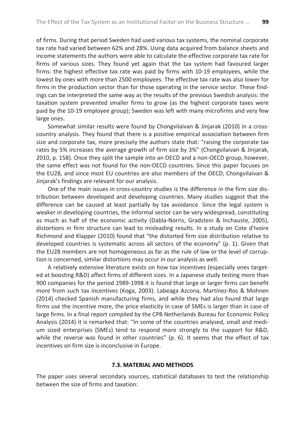of firms. During that period Sweden had used various tax systems, the nominal corporate tax rate had varied between 62% and 28%. Using data acquired from balance sheets and income statements the authors were able to calculate the effective corporate tax rate for firms of various sizes. They found yet again that the tax system had favoured larger firms: the highest effective tax rate was paid by firms with 10-19 employees, while the lowest by ones with more than 2500 employees. The effective tax rate was also lower for firms in the production sector than for those operating in the service sector. These findings can be interpreted the same way as the results of the previous Swedish analysis: the taxation system prevented smaller firms to grow (as the highest corporate taxes were paid by the 10-19 employee group); Sweden was left with many microfirms and very few large ones.

Somewhat similar results were found by Chongvilaivan & Jinjarak (2010) in a crosscountry analysis. They found that there is a positive empirical association between firm size and corporate tax, more precisely the authors state that: "raising the corporate tax rates by 5% increases the average growth of firm size by 3%" (Chongvilaivan & Jinjarak, 2010, p. 158). Once they split the sample into an OECD and a non-OECD group, however, the same effect was not found for the non-OECD countries. Since this paper focuses on the EU28, and since most EU countries are also members of the OECD, Chongvilaivan & Jinjarak's findings are relevant for our analysis.

One of the main issues in cross-country studies is the difference in the firm size distribution between developed and developing countries. Many studies suggest that the difference can be caused at least partially by tax avoidance. Since the legal system is weaker in developing countries, the informal sector can be very widespread, constituting as much as half of the economic activity (Dabla-Norris, Gradstein & Inchauste, 2005), distortions in firm structure can lead to misleading results. In a study on Cote d'Ivoire Richmond and Klapper (2010) found that "the distorted firm size distribution relative to developed countries is systematic across all sectors of the economy" (p. 1). Given that the EU28 members are not homogeneous as far as the rule of law or the level of corruption is concerned, similar distortions may occur in our analysis as well.

A relatively extensive literature exists on how tax incentives (especially ones targeted at boosting R&D) affect firms of different sizes. In a Japanese study testing more than 900 companies for the period 1989-1998 it is found that large or larger firms can benefit more from such tax incentives (Koga, 2003). Labeaga Azcona, Martínez-Ros & Mohnen (2014) checked Spanish manufacturing firms, and while they had also found that large firms use the incentive more, the price elasticity in case of SMEs is larger than in case of large firms. In a final report compiled by the CPB Netherlands Bureau for Economic Policy Analysis (2014) it is remarked that: "In some of the countries analysed, small and medium sized enterprises (SMEs) tend to respond more strongly to the support for R&D, while the reverse was found in other countries" (p. 6). It seems that the effect of tax incentives on firm size is inconclusive in Europe.

#### **7.3. MATERIAL AND METHODS**

The paper uses several secondary sources, statistical databases to test the relationship between the size of firms and taxation: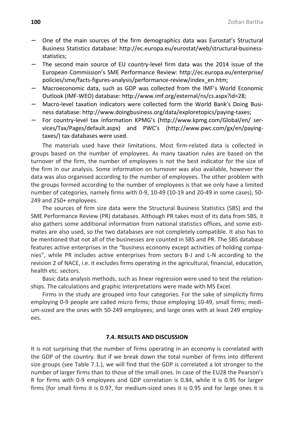- − One of the main sources of the firm demographics data was Eurostat's Structural Business Statistics database: http://ec.europa.eu/eurostat/web/structural-businessstatistics;
- The second main source of EU country-level firm data was the 2014 issue of the European Commission's SME Performance Review: http://ec.europa.eu/enterprise/ policies/sme/facts-figures-analysis/performance-review/index\_en.htm;
- − Macroeconomic data, such as GDP was collected from the IMF's World Economic Outlook (IMF-WEO) database: http://www.imf.org/external/ns/cs.aspx?id=28;
- − Macro-level taxation indicators were collected form the World Bank's Doing Business database: http://www.doingbusiness.org/data/exploretopics/paying-taxes;
- − For country-level tax information KPMG's (http://www.kpmg.com/Global/en/ services/Tax/Pages/default.aspx) and PWC's (http://www.pwc.com/gx/en/payingtaxes/) tax databases were used.

The materials used have their limitations. Most firm-related data is collected in groups based on the number of employees. As many taxation rules are based on the turnover of the firm, the number of employees is not the best indicator for the size of the firm in our analysis. Some information on turnover was also available, however the data was also organised according to the number of employees. The other problem with the groups formed according to the number of employees is that we only have a limited number of categories, namely firms with 0-9, 10-49 (10-19 and 20-49 in some cases), 50- 249 and 250+ employees.

The sources of firm size data were the Structural Business Statistics (SBS) and the SME Performance Review (PR) databases. Although PR takes most of its data from SBS, it also gathers some additional information from national statistics offices, and some estimates are also used, so the two databases are not completely compatible. It also has to be mentioned that not all of the businesses are counted in SBS and PR. The SBS database features active enterprises in the "business economy except activities of holding companies", while PR includes active enterprises from sectors B-J and L-N according to the revision 2 of NACE, i.e. it excludes firms operating in the agricultural, financial, education, health etc. sectors.

Basic data analysis methods, such as linear regression were used to test the relationships. The calculations and graphic interpretations were made with MS Excel.

Firms in the study are grouped into four categories. For the sake of simplicity firms employing 0-9 people are called micro firms; those employing 10-49, small firms; medium-sized are the ones with 50-249 employees; and large ones with at least 249 employees.

#### **7.4. RESULTS AND DISCUSSION**

It is not surprising that the number of firms operating in an economy is correlated with the GDP of the country. But if we break down the total number of firms into different size groups (see Table 7.1.), we will find that the GDP is correlated a lot stronger to the number of larger firms than to those of the small ones. In case of the EU28 the Pearson's R for firms with 0-9 employees and GDP correlation is 0.84, while it is 0.95 for larger firms (for small firms it is 0.97, for medium-sized ones it is 0.95 and for large ones it is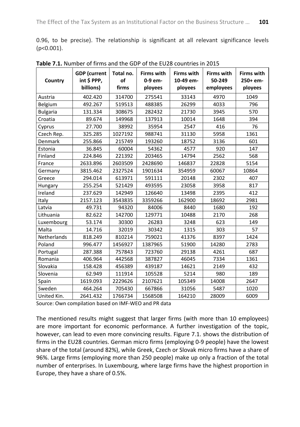0.96, to be precise). The relationship is significant at all relevant significance levels (p<0.001).

| Country         | <b>GDP</b> (current<br>int \$ PPP,<br>billions) | Total no.<br>of<br>firms | <b>Firms with</b><br>0-9 em-<br>ployees | <b>Firms with</b><br>10-49 em-<br>ployees | <b>Firms with</b><br>50-249<br>employees | <b>Firms with</b><br>250+ em-<br>ployees |  |
|-----------------|-------------------------------------------------|--------------------------|-----------------------------------------|-------------------------------------------|------------------------------------------|------------------------------------------|--|
| Austria         | 402.420                                         | 314700                   | 275541                                  | 33143                                     | 4970                                     | 1049                                     |  |
| Belgium         | 492.267                                         | 519513                   | 488385                                  | 26299                                     | 4033                                     | 796                                      |  |
| <b>Bulgaria</b> | 131.334                                         | 308675                   | 282432                                  | 21730                                     | 3945                                     | 570                                      |  |
| Croatia         | 89.674                                          | 149968                   | 137913                                  | 10014                                     | 1648                                     | 394                                      |  |
| Cyprus          | 27.700                                          | 38992                    | 35954                                   | 2547                                      | 416                                      | 76                                       |  |
| Czech Rep.      | 325.285                                         | 1027192                  | 988741                                  | 31130                                     | 5958                                     | 1361                                     |  |
| Denmark         | 255.866                                         | 215749                   | 193260                                  | 18752                                     | 3136                                     | 601                                      |  |
| Estonia         | 36.845                                          | 60004                    | 54362                                   | 4577                                      | 920                                      | 147                                      |  |
| Finland         | 224.846                                         | 221392                   | 203465                                  | 14794                                     | 2562                                     | 568                                      |  |
| France          | 2633.896                                        | 2603509                  | 2428690                                 | 146837                                    | 22828                                    | 5154                                     |  |
| Germany         | 3815.462                                        | 2327524                  | 1901634                                 | 354959                                    | 60067                                    | 10864                                    |  |
| Greece          | 294.014                                         | 613971                   | 591111                                  | 20148                                     | 2302                                     | 407                                      |  |
| Hungary         | 255.254                                         | 521429                   | 493595                                  | 23058                                     | 3958                                     | 817                                      |  |
| Ireland         | 237.629                                         | 142949                   | 126640                                  | 13498                                     | 2395                                     | 412                                      |  |
| Italy           | 2157.123                                        | 3543835                  | 3359266                                 | 162900                                    | 18692                                    | 2981                                     |  |
| Latvia          | 49.731                                          | 94320                    | 84006                                   | 8440                                      | 1680                                     | 192                                      |  |
| Lithuania       | 82.622                                          | 142700                   | 129771                                  | 10488                                     | 2170                                     | 268                                      |  |
| Luxembourg      | 53.174                                          | 30300                    | 26283                                   | 3248                                      | 623                                      | 149                                      |  |
| Malta           | 14.716                                          | 32019                    | 30342                                   | 1315                                      | 303                                      | 57                                       |  |
| Netherlands     | 818.249                                         | 810214                   | 759021                                  | 41376                                     | 8397                                     | 1424                                     |  |
| Poland          | 996.477                                         | 1456927                  | 1387965                                 | 51900                                     | 14280                                    | 2783                                     |  |
| Portugal        | 287.388                                         | 757843                   | 723760                                  | 29138                                     | 4261                                     | 687                                      |  |
| Romania         | 406.964                                         | 442568                   | 387827                                  | 46045                                     | 7334                                     | 1361                                     |  |
| Slovakia        | 158.428                                         | 456389                   | 439187                                  | 14621                                     | 2149                                     | 432                                      |  |
| Slovenia        | 62.949                                          | 111914                   | 105528                                  | 5214                                      | 980                                      | 189                                      |  |
| Spain           | 1619.093                                        | 2229626                  | 2107621                                 | 105349                                    | 14008                                    | 2647                                     |  |
| Sweden          | 464.264                                         | 705430                   | 667866                                  | 31056                                     | 5487                                     | 1020                                     |  |
| United Kin.     | 2641.432                                        | 1766734                  | 1568508                                 | 164210                                    | 28009                                    | 6009                                     |  |

**Table 7.1.** Number of firms and the GDP of the EU28 countries in 2015

Source: Own compilation based on IMF-WEO and PR data

The mentioned results might suggest that larger firms (with more than 10 employees) are more important for economic performance. A further investigation of the topic, however, can lead to even more convincing results. Figure 7.1. shows the distribution of firms in the EU28 countries. German micro firms (employing 0-9 people) have the lowest share of the total (around 82%), while Greek, Czech or Slovak micro firms have a share of 96%. Large firms (employing more than 250 people) make up only a fraction of the total number of enterprises. In Luxembourg, where large firms have the highest proportion in Europe, they have a share of 0.5%.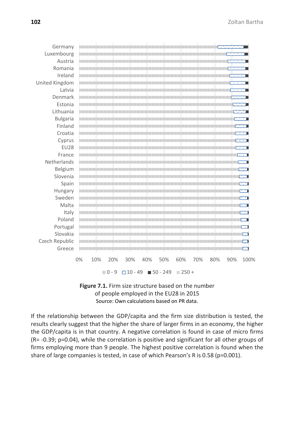| Germany         |    |     | $\overline{\mathcal{L}}$ . The contract of the contract of the contract of the contract of the contract of the contract of the contract of the contract of the contract of the contract of the contract of the contract of the contract of |     |                                                                                                                 |     |     |     |     |          |     |     |                   |      |
|-----------------|----|-----|--------------------------------------------------------------------------------------------------------------------------------------------------------------------------------------------------------------------------------------------|-----|-----------------------------------------------------------------------------------------------------------------|-----|-----|-----|-----|----------|-----|-----|-------------------|------|
| Luxembourg      |    |     | <u>in the second contract of the second contract of the second contract of the second contract of the second contract of the second contract of the second contract of the second contract of the second contract of the second </u>       |     |                                                                                                                 |     |     |     |     |          |     |     |                   |      |
| Austria         |    |     | $\overline{\phantom{a}}$ . The contract of the contract of the contract of the contract of the contract of the contract of the contract of the contract of the contract of the contract of the contract of the contract of the contract of |     |                                                                                                                 |     |     |     |     |          |     |     |                   |      |
| Romania         |    |     | $\overline{\phantom{a}}$ . The contract of the contract of the contract of the contract of the contract of the contract of the contract of the contract of the contract of the contract of the contract of the contract of the contract of |     |                                                                                                                 |     |     |     |     |          |     |     |                   |      |
| Ireland         |    |     | <u> 1999 - Paris Antonio Alemania (h. 1989).</u>                                                                                                                                                                                           |     |                                                                                                                 |     |     |     |     |          |     |     |                   |      |
| United Kingdom  |    |     | $\overline{\phantom{a}}$ . The contract of the contract of the contract of the contract of the contract of the contract of the contract of the contract of the contract of the contract of the contract of the contract of the contract of |     |                                                                                                                 |     |     |     |     |          |     |     |                   |      |
| Latvia          |    |     | <u>.</u> The contract of the contract of the contract of the contract of the contract of the contract of the contract of the contract of the contract of the contract of the contract of the contract of the contract of the contra        |     |                                                                                                                 |     |     |     |     |          |     |     |                   |      |
| Denmark         |    |     | the contract of the contract of the contract of the contract of the contract of the contract of the contract of                                                                                                                            |     |                                                                                                                 |     |     |     |     |          |     |     |                   |      |
| Estonia         |    |     | the contract of the contract of the contract of the contract of the contract of the contract of the contract of                                                                                                                            |     |                                                                                                                 |     |     |     |     |          |     |     |                   |      |
| Lithuania       |    |     | <u>a mara a shekara ta 1989, a shekara ta 1989, a shekara ta 1989, a shekara ta 1981, a shekara ta 1981, a shekara ta 1981, a shekara ta 1981, a shekara ta 1981, a shekara ta 1981, a shekara ta 1981, a shekara ta 1981, a she</u>       |     |                                                                                                                 |     |     |     |     |          |     |     |                   |      |
| <b>Bulgaria</b> |    |     |                                                                                                                                                                                                                                            |     | the contract of the contract of the contract of the contract of the contract of the contract of the contract of |     |     |     |     |          |     |     |                   |      |
| Finland         |    |     | the contract of the contract of the contract of the contract of the contract of the contract of the contract of                                                                                                                            |     |                                                                                                                 |     |     |     |     |          |     |     |                   |      |
| Croatia         |    |     | <u>is a strong of the strong strong strong strong strong strong strong strong strong strong strong strong strong strong strong strong strong strong strong strong strong strong strong strong strong strong strong strong strong</u>       |     |                                                                                                                 |     |     |     |     |          |     |     |                   |      |
| Cyprus          |    |     | <u>in the contract of the contract of the contract of the contract of the contract of the contract of the contract of the contract of the contract of the contract of the contract of the contract of the contract of the contra</u>       |     |                                                                                                                 |     |     |     |     |          |     |     |                   |      |
| <b>EU28</b>     |    |     | <u>the contract of the contract of the contract of the contract of the contract of the contract of the contract of the contract of the contract of the contract of the contract of the contract of the contract of the contract </u>       |     |                                                                                                                 |     |     |     |     |          |     |     |                   |      |
| France          |    |     | <u>recognization of the company of the company of the company of the company of the company of the company of the company of the company of the company of the company of the company of the company of the company of the compa</u>       |     |                                                                                                                 |     |     |     |     |          |     |     |                   |      |
| Netherlands     |    |     | the contract of the contract of the contract of the contract of the contract of the contract of the contract of                                                                                                                            |     |                                                                                                                 |     |     |     |     |          |     |     |                   |      |
| Belgium         |    |     | the contract of the contract of the contract of the contract of the contract of the contract of the contract of                                                                                                                            |     |                                                                                                                 |     |     |     |     |          |     |     |                   |      |
| Slovenia        |    |     | <u>The contract of the contract of the contract of the contract of the contract of the contract of the contract of the contract of the contract of the contract of the contract of the contract of the contract of the contract </u>       |     |                                                                                                                 |     |     |     |     |          |     |     |                   |      |
| Spain           |    |     | the contract of the contract of the contract of the contract of the contract of the contract of the contract of                                                                                                                            |     |                                                                                                                 |     |     |     |     |          |     |     |                   |      |
| Hungary         |    |     | <u>results and the second contract of the second contract of the second contract of the second contract of the second contract of the second contract of the second contract of the second contract of the second contract of th</u>       |     |                                                                                                                 |     |     |     |     |          |     |     |                   |      |
| Sweden          |    |     | <u>in the second contract of the second contract of the second contract of the second contract of the second contract of the second contract of the second contract of the second contract of the second contract of the second </u>       |     |                                                                                                                 |     |     |     |     |          |     |     |                   |      |
| Malta           |    |     | the contract of the contract of the contract of the contract of the contract of the contract of the contract of                                                                                                                            |     |                                                                                                                 |     |     |     |     |          |     |     |                   |      |
| Italy           |    |     | the contract of the contract of the contract of the contract of the contract of the contract of the contract of                                                                                                                            |     |                                                                                                                 |     |     |     |     |          |     |     |                   |      |
| Poland          |    |     | $\overline{\phantom{a}}$ . The contract of the contract of the contract of the contract of the contract of the contract of the contract of the contract of the contract of the contract of the contract of the contract of the contract of |     |                                                                                                                 |     |     |     |     |          |     |     |                   |      |
| Portugal        |    |     | the contract of the contract of the contract of the contract of the contract of the contract of the contract of                                                                                                                            |     |                                                                                                                 |     |     |     |     |          |     |     |                   |      |
| Slovakia        |    |     | <u>the second contract of the second contract of the second contract of the second contract of the second contract of the second contract of the second contract of the second contract of the second contract of the second con</u>       |     |                                                                                                                 |     |     |     |     |          |     |     |                   |      |
| Czech Republic  |    |     |                                                                                                                                                                                                                                            |     |                                                                                                                 |     |     |     |     |          |     |     | <u>experience</u> |      |
| Greece          |    |     |                                                                                                                                                                                                                                            |     |                                                                                                                 |     |     |     |     |          |     |     |                   |      |
|                 | 0% | 10% |                                                                                                                                                                                                                                            | 20% |                                                                                                                 | 30% | 40% | 50% | 60% |          | 70% | 80% | 90%               | 100% |
|                 |    |     |                                                                                                                                                                                                                                            |     |                                                                                                                 |     |     |     |     |          |     |     |                   |      |
|                 |    |     |                                                                                                                                                                                                                                            |     | $10 - 9$ $10 - 49$ 50 - 249                                                                                     |     |     |     |     | $1250 +$ |     |     |                   |      |
|                 |    |     | Figure 7.1. Firm size structure based on the number                                                                                                                                                                                        |     |                                                                                                                 |     |     |     |     |          |     |     |                   |      |
|                 |    |     |                                                                                                                                                                                                                                            |     |                                                                                                                 |     |     |     |     |          |     |     |                   |      |

of people employed in the EU28 in 2015 Source: Own calculations based on PR data.

If the relationship between the GDP/capita and the firm size distribution is tested, the results clearly suggest that the higher the share of larger firms in an economy, the higher the GDP/capita is in that country. A negative correlation is found in case of micro firms (R= -0.39; p=0.04), while the correlation is positive and significant for all other groups of firms employing more than 9 people. The highest positive correlation is found when the share of large companies is tested, in case of which Pearson's R is 0.58 (p=0.001).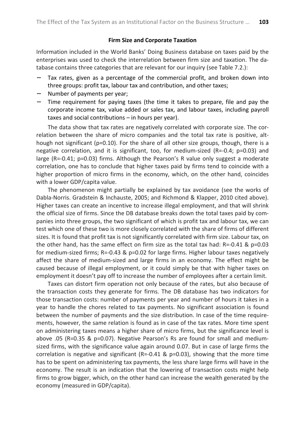#### **Firm Size and Corporate Taxation**

Information included in the World Banks' Doing Business database on taxes paid by the enterprises was used to check the interrelation between firm size and taxation. The database contains three categories that are relevant for our inquiry (see Table 7.2.):

- Tax rates, given as a percentage of the commercial profit, and broken down into three groups: profit tax, labour tax and contribution, and other taxes;
- − Number of payments per year;
- Time requirement for paying taxes (the time it takes to prepare, file and pay the corporate income tax, value added or sales tax, and labour taxes, including payroll taxes and social contributions – in hours per year).

The data show that tax rates are negatively correlated with corporate size. The correlation between the share of micro companies and the total tax rate is positive, although not significant (p=0.10). For the share of all other size groups, though, there is a negative correlation, and it is significant, too, for medium-sized (R=-0.4; p=0.03) and large (R=-0.41; p=0.03) firms. Although the Pearson's R value only suggest a moderate correlation, one has to conclude that higher taxes paid by firms tend to coincide with a higher proportion of micro firms in the economy, which, on the other hand, coincides with a lower GDP/capita value.

The phenomenon might partially be explained by tax avoidance (see the works of Dabla-Norris. Gradstein & Inchauste, 2005; and Richmond & Klapper, 2010 cited above). Higher taxes can create an incentive to increase illegal employment, and that will shrink the official size of firms. Since the DB database breaks down the total taxes paid by companies into three groups, the two significant of which is profit tax and labour tax, we can test which one of these two is more closely correlated with the share of firms of different sizes. It is found that profit tax is not significantly correlated with firm size. Labour tax, on the other hand, has the same effect on firm size as the total tax had: R=-0.41 &  $p=0.03$ for medium-sized firms;  $R = -0.43$  &  $p = 0.02$  for large firms. Higher labour taxes negatively affect the share of medium-sized and large firms in an economy. The effect might be caused because of illegal employment, or it could simply be that with higher taxes on employment it doesn't pay off to increase the number of employees after a certain limit.

Taxes can distort firm operation not only because of the rates, but also because of the transaction costs they generate for firms. The DB database has two indicators for those transaction costs: number of payments per year and number of hours it takes in a year to handle the chores related to tax payments. No significant association is found between the number of payments and the size distribution. In case of the time requirements, however, the same relation is found as in case of the tax rates. More time spent on administering taxes means a higher share of micro firms, but the significance level is above .05 (R=0.35 & p=0.07). Negative Pearson's Rs are found for small and mediumsized firms, with the significance value again around 0.07. But in case of large firms the correlation is negative and significant (R=-0.41 &  $p=0.03$ ), showing that the more time has to be spent on administering tax payments, the less share large firms will have in the economy. The result is an indication that the lowering of transaction costs might help firms to grow bigger, which, on the other hand can increase the wealth generated by the economy (measured in GDP/capita).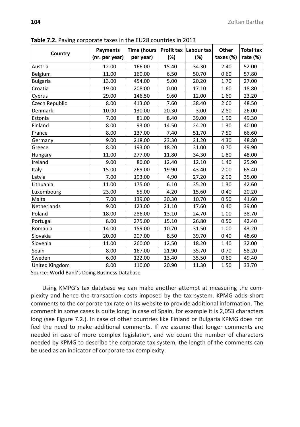|                 | $\cdots$ , $\cdots$ , $\cdots$ , $\cdots$ , $\cdots$ , $\cdots$ , $\cdots$ , $\cdots$ , $\cdots$ , $\cdots$ , $\cdots$ , $\cdots$ , $\cdots$<br>Payments | <b>Time (hours</b> |       | Profit tax Labour tax | Other     | <b>Total tax</b> |  |
|-----------------|----------------------------------------------------------------------------------------------------------------------------------------------------------|--------------------|-------|-----------------------|-----------|------------------|--|
| Country         | (nr. per year)                                                                                                                                           | per year)          | (%)   | (%)                   | taxes (%) | rate $(\%)$      |  |
| Austria         | 12.00                                                                                                                                                    | 166.00             | 15.40 | 34.30                 | 2.40      | 52.00            |  |
| Belgium         | 11.00                                                                                                                                                    | 160.00             | 6.50  | 50.70                 | 0.60      | 57.80            |  |
| <b>Bulgaria</b> | 13.00                                                                                                                                                    | 454.00             | 5.00  | 20.20                 | 1.70      | 27.00            |  |
| Croatia         | 19.00                                                                                                                                                    | 208.00             | 0.00  | 17.10                 | 1.60      | 18.80            |  |
| Cyprus          | 29.00                                                                                                                                                    | 146.50             | 9.60  | 12.00                 | 1.60      | 23.20            |  |
| Czech Republic  | 8.00                                                                                                                                                     | 413.00             | 7.60  | 38.40                 | 2.60      | 48.50            |  |
| Denmark         | 10.00                                                                                                                                                    | 130.00             | 20.30 | 3.00                  | 2.80      | 26.00            |  |
| Estonia         | 7.00                                                                                                                                                     | 81.00              | 8.40  | 39.00                 | 1.90      | 49.30            |  |
| Finland         | 8.00                                                                                                                                                     | 93.00              | 14.50 | 24.20                 | 1.30      | 40.00            |  |
| France          | 8.00                                                                                                                                                     | 137.00             | 7.40  | 51.70                 | 7.50      | 66.60            |  |
| Germany         | 9.00                                                                                                                                                     | 218.00             | 23.30 | 21.20                 | 4.30      | 48.80            |  |
| Greece          | 8.00                                                                                                                                                     | 193.00             | 18.20 | 31.00                 | 0.70      | 49.90            |  |
| Hungary         | 11.00                                                                                                                                                    | 277.00             | 11.80 | 34.30                 | 1.80      | 48.00            |  |
| Ireland         | 9.00                                                                                                                                                     | 80.00              | 12.40 | 12.10                 | 1.40      | 25.90            |  |
| Italy           | 15.00                                                                                                                                                    | 269.00             | 19.90 | 43.40                 | 2.00      | 65.40            |  |
| Latvia          | 7.00                                                                                                                                                     | 193.00             | 4.90  | 27.20                 | 2.90      | 35.00            |  |
| Lithuania       | 11.00                                                                                                                                                    | 175.00             | 6.10  | 35.20                 | 1.30      | 42.60            |  |
| Luxembourg      | 23.00                                                                                                                                                    | 55.00              | 4.20  | 15.60                 | 0.40      | 20.20            |  |
| Malta           | 7.00                                                                                                                                                     | 139.00             | 30.30 | 10.70                 | 0.50      | 41.60            |  |
| Netherlands     | 9.00                                                                                                                                                     | 123.00             | 21.10 | 17.60                 | 0.40      | 39.00            |  |
| Poland          | 18.00                                                                                                                                                    | 286.00             | 13.10 | 24.70                 | 1.00      | 38.70            |  |
| Portugal        | 8.00                                                                                                                                                     | 275.00             | 15.10 | 26.80                 | 0.50      | 42.40            |  |
| Romania         | 14.00                                                                                                                                                    | 159.00             | 10.70 | 31.50                 | 1.00      | 43.20            |  |
| Slovakia        | 20.00                                                                                                                                                    | 207.00             | 8.50  | 39.70                 | 0.40      | 48.60            |  |
| Slovenia        | 11.00                                                                                                                                                    | 260.00             | 12.50 | 18.20                 | 1.40      | 32.00            |  |
| Spain           | 8.00                                                                                                                                                     | 167.00             | 21.90 | 35.70                 | 0.70      | 58.20            |  |
| Sweden          | 6.00                                                                                                                                                     | 122.00             | 13.40 | 35.50                 | 0.60      | 49.40            |  |
| United Kingdom  | 8.00                                                                                                                                                     | 110.00             | 20.90 | 11.30                 | 1.50      | 33.70            |  |

**Table 7.2.** Paying corporate taxes in the EU28 countries in 2013

Source: World Bank's Doing Business Database

Using KMPG's tax database we can make another attempt at measuring the complexity and hence the transaction costs imposed by the tax system. KPMG adds short comments to the corporate tax rate on its website to provide additional information. The comment in some cases is quite long; in case of Spain, for example it is 2,053 characters long (see Figure 7.2.). In case of other countries like Finland or Bulgaria KPMG does not feel the need to make additional comments. If we assume that longer comments are needed in case of more complex legislation, and we count the number of characters needed by KPMG to describe the corporate tax system, the length of the comments can be used as an indicator of corporate tax complexity.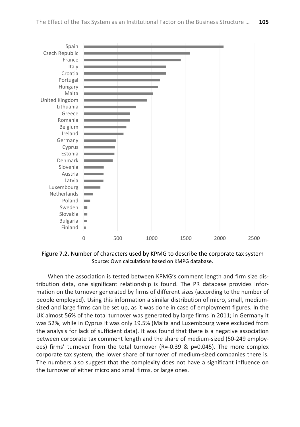

**Figure 7.2.** Number of characters used by KPMG to describe the corporate tax system Source: Own calculations based on KMPG database.

When the association is tested between KPMG's comment length and firm size distribution data, one significant relationship is found. The PR database provides information on the turnover generated by firms of different sizes (according to the number of people employed). Using this information a similar distribution of micro, small, mediumsized and large firms can be set up, as it was done in case of employment figures. In the UK almost 56% of the total turnover was generated by large firms in 2011; in Germany it was 52%, while in Cyprus it was only 19.5% (Malta and Luxembourg were excluded from the analysis for lack of sufficient data). It was found that there is a negative association between corporate tax comment length and the share of medium-sized (50-249 employees) firms' turnover from the total turnover (R=-0.39 & p=0.045). The more complex corporate tax system, the lower share of turnover of medium-sized companies there is. The numbers also suggest that the complexity does not have a significant influence on the turnover of either micro and small firms, or large ones.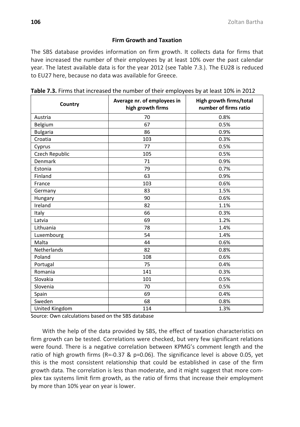## **Firm Growth and Taxation**

The SBS database provides information on firm growth. It collects data for firms that have increased the number of their employees by at least 10% over the past calendar year. The latest available data is for the year 2012 (see Table 7.3.). The EU28 is reduced to EU27 here, because no data was available for Greece.

| Country            | Average nr. of employees in<br>high growth firms | High growth firms/total<br>number of firms ratio |  |  |  |  |
|--------------------|--------------------------------------------------|--------------------------------------------------|--|--|--|--|
| Austria            | 70                                               | 0.8%                                             |  |  |  |  |
| Belgium            | 67                                               | 0.5%                                             |  |  |  |  |
| <b>Bulgaria</b>    | 86                                               | 0.9%                                             |  |  |  |  |
| Croatia            | 103                                              | 0.3%                                             |  |  |  |  |
| Cyprus             | 77                                               | 0.5%                                             |  |  |  |  |
| Czech Republic     | 105                                              | 0.5%                                             |  |  |  |  |
| Denmark            | 71                                               | 0.9%                                             |  |  |  |  |
| Estonia            | 79                                               | 0.7%                                             |  |  |  |  |
| Finland            | 63                                               | 0.9%                                             |  |  |  |  |
| France             | 103                                              | 0.6%                                             |  |  |  |  |
| Germany            | 83                                               | 1.5%                                             |  |  |  |  |
| Hungary            | 90                                               | 0.6%                                             |  |  |  |  |
| Ireland            | 82                                               | 1.1%                                             |  |  |  |  |
| Italy              | 66                                               | 0.3%                                             |  |  |  |  |
| Latvia             | 69                                               | 1.2%                                             |  |  |  |  |
| Lithuania          | 78                                               | 1.4%                                             |  |  |  |  |
| Luxembourg         | 54                                               | 1.4%                                             |  |  |  |  |
| Malta              | 44                                               | 0.6%                                             |  |  |  |  |
| <b>Netherlands</b> | 82                                               | 0.8%                                             |  |  |  |  |
| Poland             | 108                                              | 0.6%                                             |  |  |  |  |
| Portugal           | 75                                               | 0.4%                                             |  |  |  |  |
| Romania            | 141                                              | 0.3%                                             |  |  |  |  |
| Slovakia           | 101                                              | 0.5%                                             |  |  |  |  |
| Slovenia           | 70                                               | 0.5%                                             |  |  |  |  |
| Spain              | 69                                               | 0.4%                                             |  |  |  |  |
| Sweden             | 68                                               | 0.8%                                             |  |  |  |  |
| United Kingdom     | 114                                              | 1.3%                                             |  |  |  |  |

**Table 7.3.** Firms that increased the number of their employees by at least 10% in 2012

Source: Own calculations based on the SBS database

With the help of the data provided by SBS, the effect of taxation characteristics on firm growth can be tested. Correlations were checked, but very few significant relations were found. There is a negative correlation between KPMG's comment length and the ratio of high growth firms (R=-0.37 & p=0.06). The significance level is above 0.05, yet this is the most consistent relationship that could be established in case of the firm growth data. The correlation is less than moderate, and it might suggest that more complex tax systems limit firm growth, as the ratio of firms that increase their employment by more than 10% year on year is lower.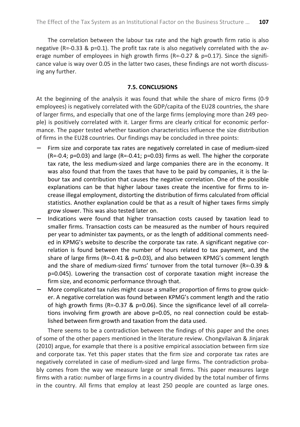The correlation between the labour tax rate and the high growth firm ratio is also negative (R=-0.33 & p=0.1). The profit tax rate is also negatively correlated with the average number of employees in high growth firms ( $R=-0.27 \& p=0.17$ ). Since the significance value is way over 0.05 in the latter two cases, these findings are not worth discussing any further.

### **7.5. CONCLUSIONS**

At the beginning of the analysis it was found that while the share of micro firms (0-9 employees) is negatively correlated with the GDP/capita of the EU28 countries, the share of larger firms, and especially that one of the large firms (employing more than 249 people) is positively correlated with it. Larger firms are clearly critical for economic performance. The paper tested whether taxation characteristics influence the size distribution of firms in the EU28 countries. Our findings may be concluded in three points:

- Firm size and corporate tax rates are negatively correlated in case of medium-sized (R=-0.4; p=0.03) and large (R=-0.41; p=0.03) firms as well. The higher the corporate tax rate, the less medium-sized and large companies there are in the economy. It was also found that from the taxes that have to be paid by companies, it is the labour tax and contribution that causes the negative correlation. One of the possible explanations can be that higher labour taxes create the incentive for firms to increase illegal employment, distorting the distribution of firms calculated from official statistics. Another explanation could be that as a result of higher taxes firms simply grow slower. This was also tested later on.
- Indications were found that higher transaction costs caused by taxation lead to smaller firms. Transaction costs can be measured as the number of hours required per year to administer tax payments, or as the length of additional comments needed in KPMG's website to describe the corporate tax rate. A significant negative correlation is found between the number of hours related to tax payment, and the share of large firms (R=-0.41 & p=0.03), and also between KPMG's comment length and the share of medium-sized firms' turnover from the total turnover (R=-0.39 & p=0.045). Lowering the transaction cost of corporate taxation might increase the firm size, and economic performance through that.
- − More complicated tax rules might cause a smaller proportion of firms to grow quicker. A negative correlation was found between KPMG's comment length and the ratio of high growth firms (R=-0.37 & p=0.06). Since the significance level of all correlations involving firm growth are above p=0.05, no real connection could be established between firm growth and taxation from the data used.

There seems to be a contradiction between the findings of this paper and the ones of some of the other papers mentioned in the literature review. Chongvilaivan & Jinjarak (2010) argue, for example that there is a positive empirical association between firm size and corporate tax. Yet this paper states that the firm size and corporate tax rates are negatively correlated in case of medium-sized and large firms. The contradiction probably comes from the way we measure large or small firms. This paper measures large firms with a ratio: number of large firms in a country divided by the total number of firms in the country. All firms that employ at least 250 people are counted as large ones.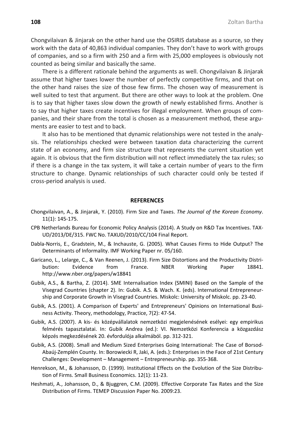Chongvilaivan & Jinjarak on the other hand use the OSIRIS database as a source, so they work with the data of 40,863 individual companies. They don't have to work with groups of companies, and so a firm with 250 and a firm with 25,000 employees is obviously not counted as being similar and basically the same.

There is a different rationale behind the arguments as well. Chongvilaivan & Jinjarak assume that higher taxes lower the number of perfectly competitive firms, and that on the other hand raises the size of those few firms. The chosen way of measurement is well suited to test that argument. But there are other ways to look at the problem. One is to say that higher taxes slow down the growth of newly established firms. Another is to say that higher taxes create incentives for illegal employment. When groups of companies, and their share from the total is chosen as a measurement method, these arguments are easier to test and to back.

It also has to be mentioned that dynamic relationships were not tested in the analysis. The relationships checked were between taxation data characterizing the current state of an economy, and firm size structure that represents the current situation yet again. It is obvious that the firm distribution will not reflect immediately the tax rules; so if there is a change in the tax system, it will take a certain number of years to the firm structure to change. Dynamic relationships of such character could only be tested if cross-period analysis is used.

#### **REFERENCES**

- Chongvilaivan, A., & Jinjarak, Y. (2010). Firm Size and Taxes. *The Journal of the Korean Economy*. 11(1): 145-175.
- CPB Netherlands Bureau for Economic Policy Analysis (2014). A Study on R&D Tax Incentives. TAX-UD/2013/DE/315. FWC No. TAXUD/2010/CC/104 Final Report.
- Dabla-Norris, E., Gradstein, M., & Inchauste, G. (2005). What Causes Firms to Hide Output? The Determinants of Informality. IMF Working Paper nr. 05/160.
- Garicano, L., Lelarge, C., & Van Reenen, J. (2013). Firm Size Distortions and the Productivity Distribution: Evidence from France. NBER Working Paper 18841. http://www.nber.org/papers/w18841
- Gubik, A.S., & Bartha, Z. (2014). SME Internalisation Index (SMINI) Based on the Sample of the Visegrad Countries (chapter 2). In: Gubik. A.S. & Wach. K. (eds). International Entrepreneurship and Corporate Growth in Visegrad Countries. Miskolc: University of Miskolc. pp. 23-40.
- Gubik, A.S. (2001). A Comparison of Experts' and Entrepreneurs' Opinions on International Business Activity. Theory, methodology, Practice, 7(2): 47-54.
- Gubik, A.S. (2007). A kis- és középvállalatok nemzetközi megjelenésének esélyei: egy empirikus felmérés tapasztalatai. In: Gubik Andrea (ed.): VI. Nemzetközi Konferencia a közgazdász képzés megkezdésének 20. évfordulója alkalmából. pp. 312-321.
- Gubik, A.S. (2008). Small and Medium Sized Enterprises Going International: The Case of Borsod-Abaúj-Zemplén County. In: Borowiecki R, Jaki, A. (eds.): Enterprises in the Face of 21st Century Challenges: Development – Management – Entrepreneurship. pp. 355-368.
- Henrekson, M., & Johansson, D. (1999). Institutional Effects on the Evolution of the Size Distribution of Firms. Small Business Economics. 12(1): 11-23.
- Heshmati, A., Johansson, D., & Bjuggren, C.M. (2009). Effective Corporate Tax Rates and the Size Distribution of Firms. TEMEP Discussion Paper No. 2009:23.